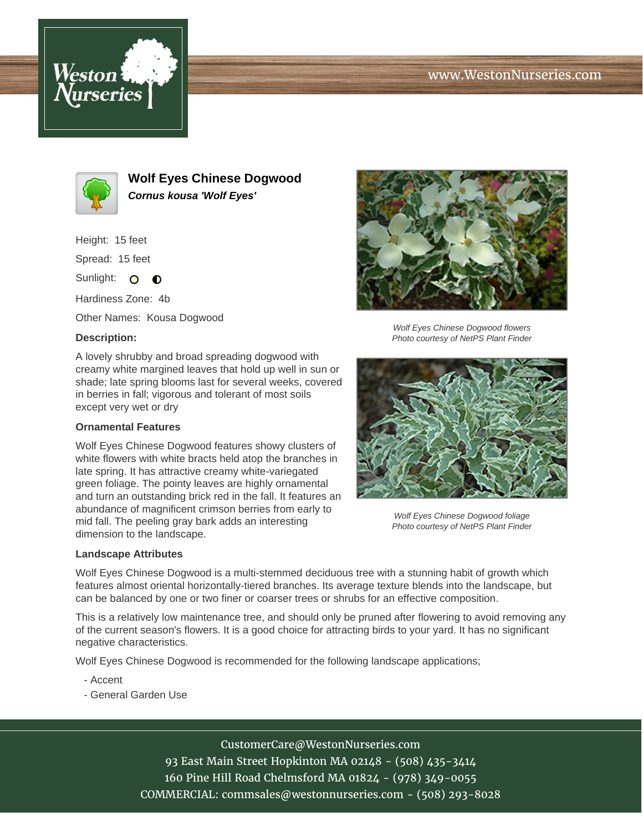## www.WestonNurseries.com





**Wolf Eyes Chinese Dogwood Cornus kousa 'Wolf Eyes'**

Height: 15 feet

Spread: 15 feet

Sunlight: O  $\bullet$ 

Hardiness Zone: 4b

Other Names: Kousa Dogwood

## **Description:**

A lovely shrubby and broad spreading dogwood with creamy white margined leaves that hold up well in sun or shade; late spring blooms last for several weeks, covered in berries in fall; vigorous and tolerant of most soils except very wet or dry

## **Ornamental Features**

Wolf Eyes Chinese Dogwood features showy clusters of white flowers with white bracts held atop the branches in late spring. It has attractive creamy white-variegated green foliage. The pointy leaves are highly ornamental and turn an outstanding brick red in the fall. It features an abundance of magnificent crimson berries from early to mid fall. The peeling gray bark adds an interesting dimension to the landscape.





Wolf Eyes Chinese Dogwood flowers Photo courtesy of NetPS Plant Finder



Wolf Eyes Chinese Dogwood foliage Photo courtesy of NetPS Plant Finder

Wolf Eyes Chinese Dogwood is a multi-stemmed deciduous tree with a stunning habit of growth which features almost oriental horizontally-tiered branches. Its average texture blends into the landscape, but can be balanced by one or two finer or coarser trees or shrubs for an effective composition.

This is a relatively low maintenance tree, and should only be pruned after flowering to avoid removing any of the current season's flowers. It is a good choice for attracting birds to your yard. It has no significant negative characteristics.

Wolf Eyes Chinese Dogwood is recommended for the following landscape applications;

- Accent
- General Garden Use

CustomerCare@WestonNurseries.com 93 East Main Street Hopkinton MA 02148 - (508) 435-3414 160 Pine Hill Road Chelmsford MA 01824 - (978) 349-0055 COMMERCIAL: commsales@westonnurseries.com - (508) 293-8028